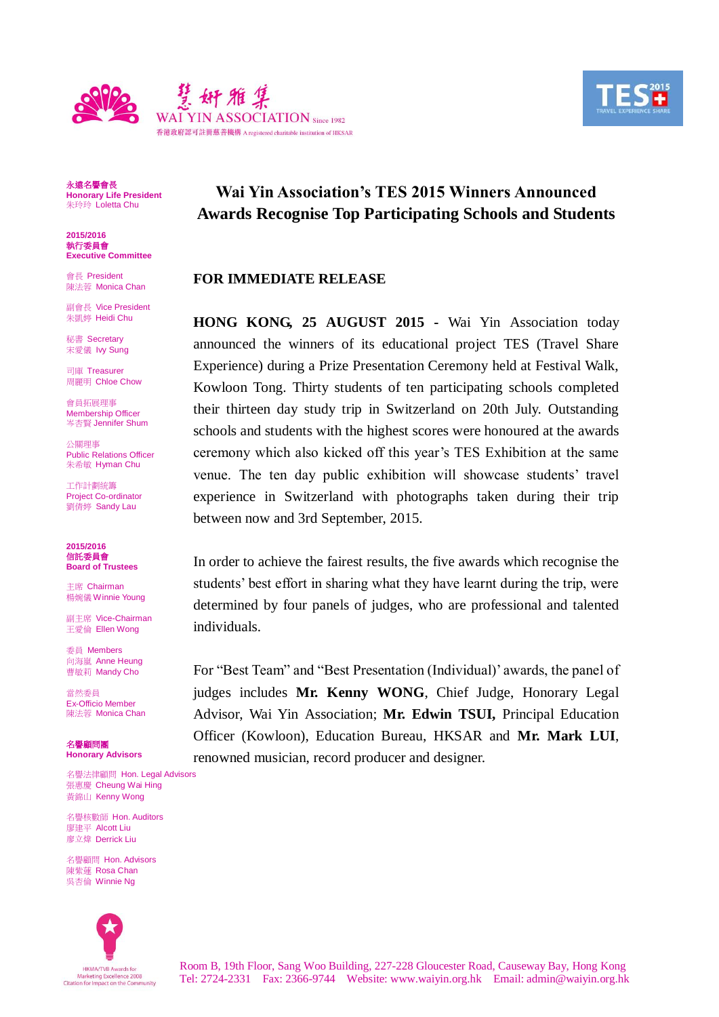



永遠名譽會長 **Honorary Life President** 朱玲玲 Loletta Chu

**2015/2016** 執行委員會 **Executive Committee**

會長 President 陳法蓉 Monica Chan

副會長 Vice President 朱凱婷 Heidi Chu

秘書 Secretary 宋愛儀 Ivy Sung

司庫 Treasurer 周麗明 Chloe Chow

會員拓展理事 Membership Officer 岑杏賢 Jennifer Shum

公關理事 Public Relations Officer 朱希敏 Hyman Chu

工作計劃統籌 Project Co-ordinator 劉倩婷 Sandy Lau

**2015/2016** 信託委員會 **Board of Trustees**

主席 Chairman 楊婉儀 Winnie Young

副主席 Vice-Chairman 王愛倫 Ellen Wong

委員 Members 向海嵐 Anne Heung **曹敏莉 Mandy Cho** 

當然委員 Ex-Officio Member 陳法蓉 Monica Chan

名譽顧問團 **Honorary Advisors**

名譽法律顧問 Hon. Legal Advisors 張惠慶 Cheung Wai Hing 黃錦山 Kenny Wong

名譽核數師 Hon. Auditors 廖建平 Alcott Liu 廖立煒 Derrick Liu

名譽顧問 Hon. Advisors 陳紫蓮 Rosa Chan 吳杏倫 Winnie Ng



# **Wai Yin Association's TES 2015 Winners Announced Awards Recognise Top Participating Schools and Students**

## **FOR IMMEDIATE RELEASE**

**HONG KONG, 25 AUGUST 2015 -** Wai Yin Association today announced the winners of its educational project TES (Travel Share Experience) during a Prize Presentation Ceremony held at Festival Walk, Kowloon Tong. Thirty students of ten participating schools completed their thirteen day study trip in Switzerland on 20th July. Outstanding schools and students with the highest scores were honoured at the awards ceremony which also kicked off this year's TES Exhibition at the same venue. The ten day public exhibition will showcase students' travel experience in Switzerland with photographs taken during their trip between now and 3rd September, 2015.

In order to achieve the fairest results, the five awards which recognise the students' best effort in sharing what they have learnt during the trip, were determined by four panels of judges, who are professional and talented individuals.

For "Best Team" and "Best Presentation (Individual)' awards, the panel of judges includes **Mr. Kenny WONG**, Chief Judge, Honorary Legal Advisor, Wai Yin Association; **Mr. Edwin TSUI,** Principal Education Officer (Kowloon), Education Bureau, HKSAR and **Mr. Mark LUI**, renowned musician, record producer and designer.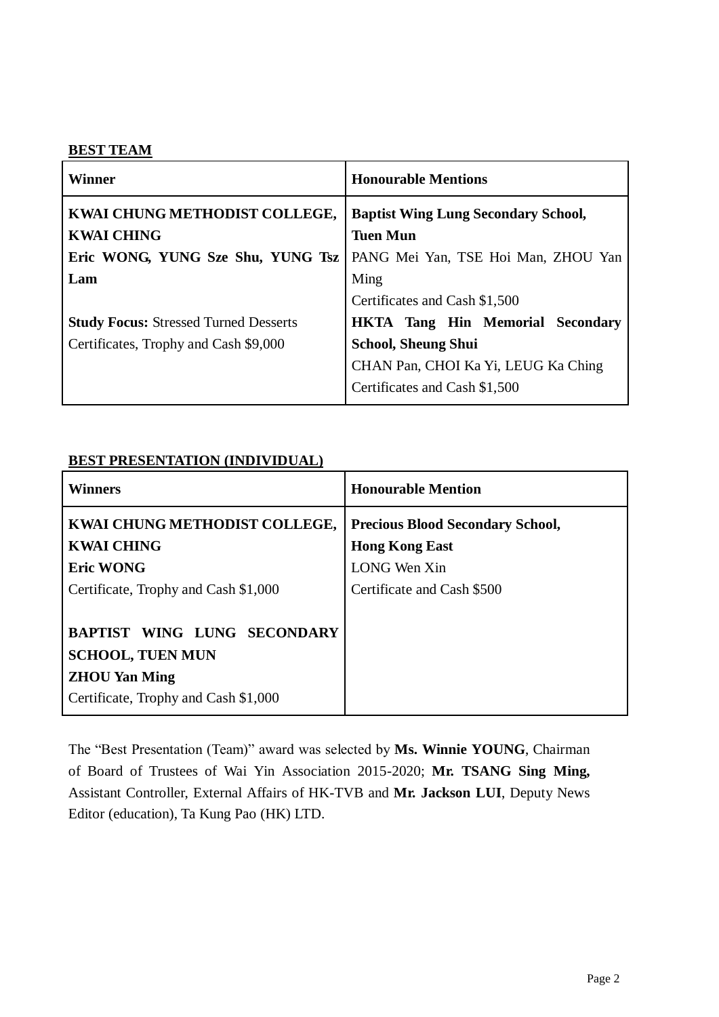## **BEST TEAM**

| <b>Winner</b>                                      | <b>Honourable Mentions</b>                                    |
|----------------------------------------------------|---------------------------------------------------------------|
| KWAI CHUNG METHODIST COLLEGE,<br><b>KWAI CHING</b> | <b>Baptist Wing Lung Secondary School,</b><br><b>Tuen Mun</b> |
| Eric WONG, YUNG Sze Shu, YUNG Tsz                  | PANG Mei Yan, TSE Hoi Man, ZHOU Yan                           |
| Lam                                                | Ming                                                          |
|                                                    | Certificates and Cash \$1,500                                 |
| <b>Study Focus: Stressed Turned Desserts</b>       | <b>HKTA Tang Hin Memorial Secondary</b>                       |
| Certificates, Trophy and Cash \$9,000              | <b>School, Sheung Shui</b>                                    |
|                                                    | CHAN Pan, CHOI Ka Yi, LEUG Ka Ching                           |
|                                                    | Certificates and Cash \$1,500                                 |

# **BEST PRESENTATION (INDIVIDUAL)**

| <b>Winners</b>                                                                                                         | <b>Honourable Mention</b>                                        |
|------------------------------------------------------------------------------------------------------------------------|------------------------------------------------------------------|
| KWAI CHUNG METHODIST COLLEGE,<br><b>KWAI CHING</b>                                                                     | <b>Precious Blood Secondary School,</b><br><b>Hong Kong East</b> |
| <b>Eric WONG</b>                                                                                                       | LONG Wen Xin                                                     |
| Certificate, Trophy and Cash \$1,000                                                                                   | Certificate and Cash \$500                                       |
| BAPTIST WING LUNG SECONDARY<br><b>SCHOOL, TUEN MUN</b><br><b>ZHOU Yan Ming</b><br>Certificate, Trophy and Cash \$1,000 |                                                                  |

The "Best Presentation (Team)" award was selected by **Ms. Winnie YOUNG**, Chairman of Board of Trustees of Wai Yin Association 2015-2020; **Mr. TSANG Sing Ming,**  Assistant Controller, External Affairs of HK-TVB and **Mr. Jackson LUI**, Deputy News Editor (education), Ta Kung Pao (HK) LTD.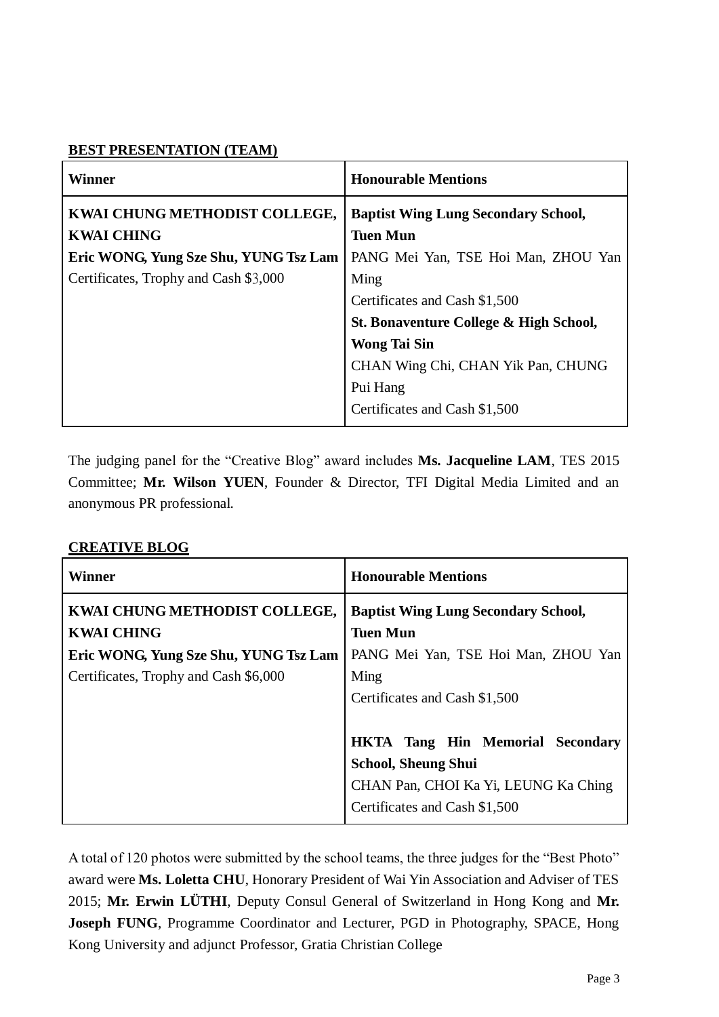# **BEST PRESENTATION (TEAM)**

| <b>Winner</b>                         | <b>Honourable Mentions</b>                 |
|---------------------------------------|--------------------------------------------|
| KWAI CHUNG METHODIST COLLEGE,         | <b>Baptist Wing Lung Secondary School,</b> |
| <b>KWAI CHING</b>                     | <b>Tuen Mun</b>                            |
| Eric WONG, Yung Sze Shu, YUNG Tsz Lam | PANG Mei Yan, TSE Hoi Man, ZHOU Yan        |
| Certificates, Trophy and Cash \$3,000 | Ming                                       |
|                                       | Certificates and Cash \$1,500              |
|                                       | St. Bonaventure College & High School,     |
|                                       | <b>Wong Tai Sin</b>                        |
|                                       | CHAN Wing Chi, CHAN Yik Pan, CHUNG         |
|                                       | Pui Hang                                   |
|                                       | Certificates and Cash \$1,500              |

The judging panel for the "Creative Blog" award includes **Ms. Jacqueline LAM**, TES 2015 Committee; **Mr. Wilson YUEN**, Founder & Director, TFI Digital Media Limited and an anonymous PR professional.

# **CREATIVE BLOG**

| <b>Winner</b>                                      | <b>Honourable Mentions</b>                                    |
|----------------------------------------------------|---------------------------------------------------------------|
| KWAI CHUNG METHODIST COLLEGE,<br><b>KWAI CHING</b> | <b>Baptist Wing Lung Secondary School,</b><br><b>Tuen Mun</b> |
| Eric WONG, Yung Sze Shu, YUNG Tsz Lam              | PANG Mei Yan, TSE Hoi Man, ZHOU Yan                           |
| Certificates, Trophy and Cash \$6,000              | Ming                                                          |
|                                                    | Certificates and Cash \$1,500                                 |
|                                                    | <b>HKTA Tang Hin Memorial Secondary</b>                       |
|                                                    | <b>School, Sheung Shui</b>                                    |
|                                                    | CHAN Pan, CHOI Ka Yi, LEUNG Ka Ching                          |
|                                                    | Certificates and Cash \$1,500                                 |

A total of 120 photos were submitted by the school teams, the three judges for the "Best Photo" award were **Ms. Loletta CHU**, Honorary President of Wai Yin Association and Adviser of TES 2015; **Mr. Erwin LÜTHI**, Deputy Consul General of Switzerland in Hong Kong and **Mr. Joseph FUNG**, Programme Coordinator and Lecturer, PGD in Photography, SPACE, Hong Kong University and adjunct Professor, Gratia Christian College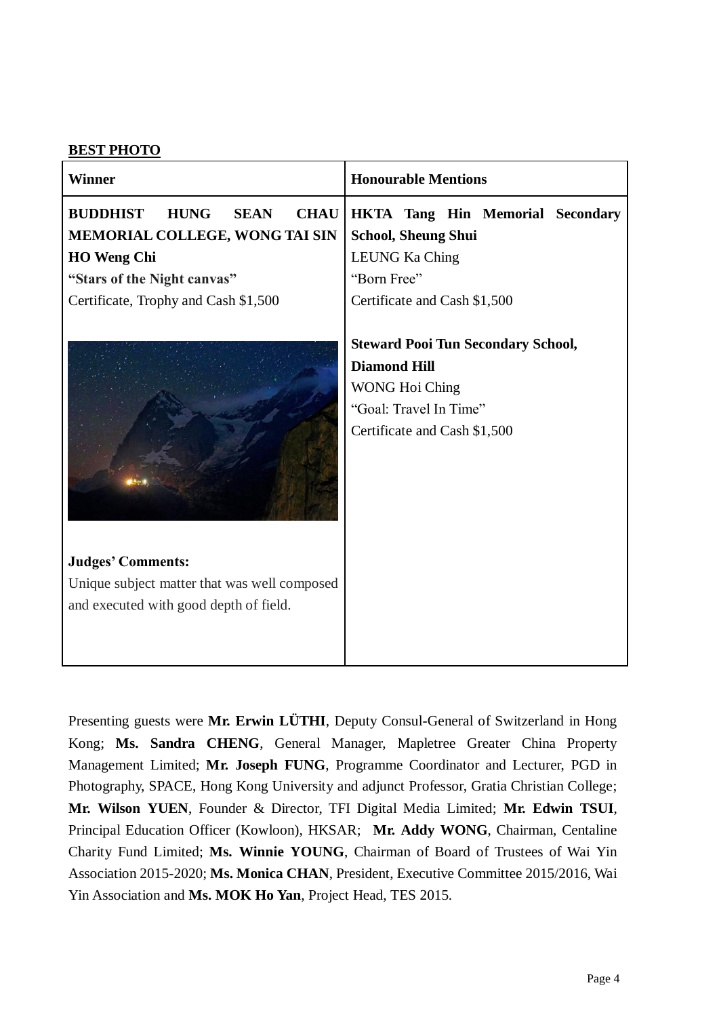# **BEST PHOTO**

| <b>Winner</b>                                                                                                                                                                               | <b>Honourable Mentions</b>                                                                                                                          |
|---------------------------------------------------------------------------------------------------------------------------------------------------------------------------------------------|-----------------------------------------------------------------------------------------------------------------------------------------------------|
| <b>BUDDHIST</b><br><b>HUNG</b><br><b>SEAN</b><br><b>CHAU</b><br>MEMORIAL COLLEGE, WONG TAI SIN<br><b>HO</b> Weng Chi<br>"Stars of the Night canvas"<br>Certificate, Trophy and Cash \$1,500 | <b>HKTA Tang Hin Memorial Secondary</b><br><b>School, Sheung Shui</b><br><b>LEUNG Ka Ching</b><br>"Born Free"<br>Certificate and Cash \$1,500       |
|                                                                                                                                                                                             | <b>Steward Pooi Tun Secondary School,</b><br><b>Diamond Hill</b><br><b>WONG Hoi Ching</b><br>"Goal: Travel In Time"<br>Certificate and Cash \$1,500 |
| <b>Judges' Comments:</b>                                                                                                                                                                    |                                                                                                                                                     |
| Unique subject matter that was well composed<br>and executed with good depth of field.                                                                                                      |                                                                                                                                                     |

Presenting guests were **Mr. Erwin LÜTHI**, Deputy Consul-General of Switzerland in Hong Kong; **Ms. Sandra CHENG**, General Manager, Mapletree Greater China Property Management Limited; **Mr. Joseph FUNG**, Programme Coordinator and Lecturer, PGD in Photography, SPACE, Hong Kong University and adjunct Professor, Gratia Christian College; **Mr. Wilson YUEN**, Founder & Director, TFI Digital Media Limited; **Mr. Edwin TSUI**, Principal Education Officer (Kowloon), HKSAR; **Mr. Addy WONG**, Chairman, Centaline Charity Fund Limited; **Ms. Winnie YOUNG**, Chairman of Board of Trustees of Wai Yin Association 2015-2020; **Ms. Monica CHAN**, President, Executive Committee 2015/2016, Wai Yin Association and **Ms. MOK Ho Yan**, Project Head, TES 2015.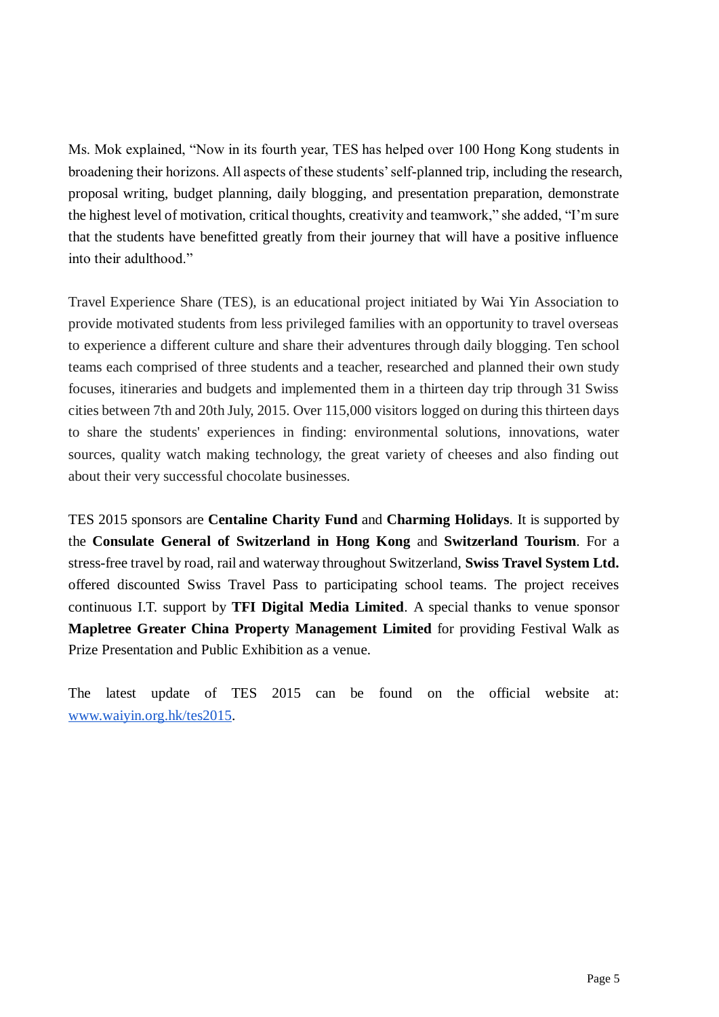Ms. Mok explained, "Now in its fourth year, TES has helped over 100 Hong Kong students in broadening their horizons. All aspects of these students' self-planned trip, including the research, proposal writing, budget planning, daily blogging, and presentation preparation, demonstrate the highest level of motivation, critical thoughts, creativity and teamwork," she added, "I'm sure that the students have benefitted greatly from their journey that will have a positive influence into their adulthood."

Travel Experience Share (TES), is an educational project initiated by Wai Yin Association to provide motivated students from less privileged families with an opportunity to travel overseas to experience a different culture and share their adventures through daily blogging. Ten school teams each comprised of three students and a teacher, researched and planned their own study focuses, itineraries and budgets and implemented them in a thirteen day trip through 31 Swiss cities between 7th and 20th July, 2015. Over 115,000 visitors logged on during this thirteen days to share the students' experiences in finding: environmental solutions, innovations, water sources, quality watch making technology, the great variety of cheeses and also finding out about their very successful chocolate businesses.

TES 2015 sponsors are **Centaline Charity Fund** and **Charming Holidays**. It is supported by the **Consulate General of Switzerland in Hong Kong** and **Switzerland Tourism**. For a stress-free travel by road, rail and waterway throughout Switzerland, **Swiss Travel System Ltd.** offered discounted Swiss Travel Pass to participating school teams. The project receives continuous I.T. support by **TFI Digital Media Limited**. A special thanks to venue sponsor **Mapletree Greater China Property Management Limited** for providing Festival Walk as Prize Presentation and Public Exhibition as a venue.

The latest update of TES 2015 can be found on the official website at[:](http://www.waiyin.org.hk/tes2015) [www.waiyin.org.hk/tes2015.](http://www.waiyin.org.hk/tes2015)